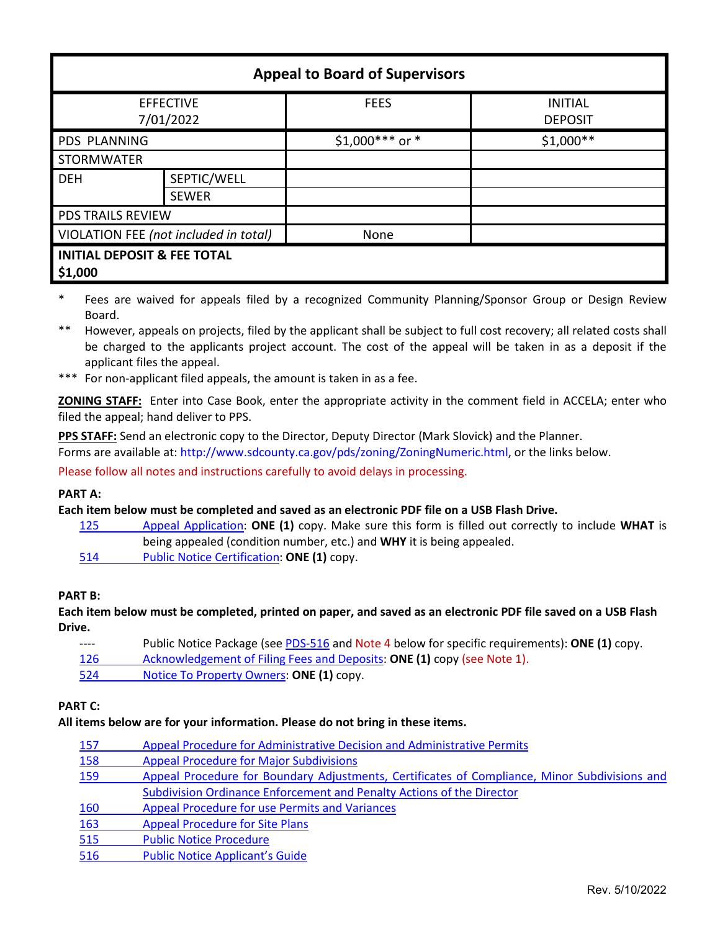| <b>Appeal to Board of Supervisors</b>             |                             |                  |                                  |  |  |  |
|---------------------------------------------------|-----------------------------|------------------|----------------------------------|--|--|--|
| <b>EFFECTIVE</b><br>7/01/2022                     |                             | <b>FEES</b>      | <b>INITIAL</b><br><b>DEPOSIT</b> |  |  |  |
| PDS PLANNING                                      |                             | $$1,000***$ or * | $$1,000**$                       |  |  |  |
| <b>STORMWATER</b>                                 |                             |                  |                                  |  |  |  |
| <b>DEH</b>                                        | SEPTIC/WELL<br><b>SEWER</b> |                  |                                  |  |  |  |
| <b>PDS TRAILS REVIEW</b>                          |                             |                  |                                  |  |  |  |
| VIOLATION FEE (not included in total)             |                             | None             |                                  |  |  |  |
| <b>INITIAL DEPOSIT &amp; FEE TOTAL</b><br>\$1,000 |                             |                  |                                  |  |  |  |

- \* Fees are waived for appeals filed by a recognized Community Planning/Sponsor Group or Design Review Board.
- \*\* However, appeals on projects, filed by the applicant shall be subject to full cost recovery; all related costs shall be charged to the applicants project account. The cost of the appeal will be taken in as a deposit if the applicant files the appeal.
- \*\*\* For non-applicant filed appeals, the amount is taken in as a fee.

**ZONING STAFF:** Enter into Case Book, enter the appropriate activity in the comment field in ACCELA; enter who filed the appeal; hand deliver to PPS.

**PPS STAFF:** Send an electronic copy to the Director, Deputy Director (Mark Slovick) and the Planner. Forms are available at: [http://www.sdcounty.ca.gov/pds/zoning/ZoningNumeric.html,](http://www.sdcounty.ca.gov/pds/zoning/ZoningNumeric.html) or the links below.

Please follow all notes and instructions carefully to avoid delays in processing.

### **PART A:**

### **Each item below must be completed and saved as an electronic PDF file on a USB Flash Drive.**

- 125 [Appeal Application:](https://www.sandiegocounty.gov/content/dam/sdc/pds/zoning/formfields/PDS-PLN-125.pdf) **ONE (1)** copy. Make sure this form is filled out correctly to include **WHAT** is being appealed (condition number, etc.) and **WHY** it is being appealed.
- 514 [Public Notice Certification:](http://www.sdcounty.ca.gov/pds/zoning/formfields/PDS-PLN-514.pdf) **ONE (1)** copy.

### **PART B:**

**Each item below must be completed, printed on paper, and saved as an electronic PDF file saved on a USB Flash Drive.**

| $---$ | Public Notice Package (see PDS-516 and Note 4 below for specific requirements): ONE (1) copy. |
|-------|-----------------------------------------------------------------------------------------------|
| 126   | Acknowledgement of Filing Fees and Deposits: ONE (1) copy (see Note 1).                       |
| 524   | Notice To Property Owners: ONE (1) copy.                                                      |

# **PART C:**

### **All items below are for your information. Please do not bring in these items.**

| 157        | Appeal Procedure for Administrative Decision and Administrative Permits                       |  |
|------------|-----------------------------------------------------------------------------------------------|--|
| 158        | <b>Appeal Procedure for Major Subdivisions</b>                                                |  |
| 159        | Appeal Procedure for Boundary Adjustments, Certificates of Compliance, Minor Subdivisions and |  |
|            | Subdivision Ordinance Enforcement and Penalty Actions of the Director                         |  |
| 160        | <b>Appeal Procedure for use Permits and Variances</b>                                         |  |
| <b>163</b> | <b>Appeal Procedure for Site Plans</b>                                                        |  |
| 515        | <b>Public Notice Procedure</b>                                                                |  |
| 516        | <b>Public Notice Applicant's Guide</b>                                                        |  |